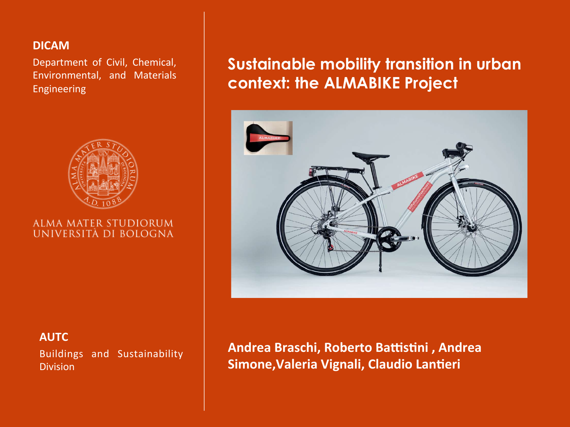#### **DICAM**

Department of Civil, Chemical, Environmental, and Materials Engineering



#### ALMA MATER STUDIORUM UNIVERSITÀ DI BOLOGNA

#### **AUTC**

Buildings and Sustainability Division

# **Sustainable mobility transition in urban context: the ALMABIKE Project**



Andrea Braschi, Roberto Battistini, Andrea **Simone, Valeria Vignali, Claudio Lantieri**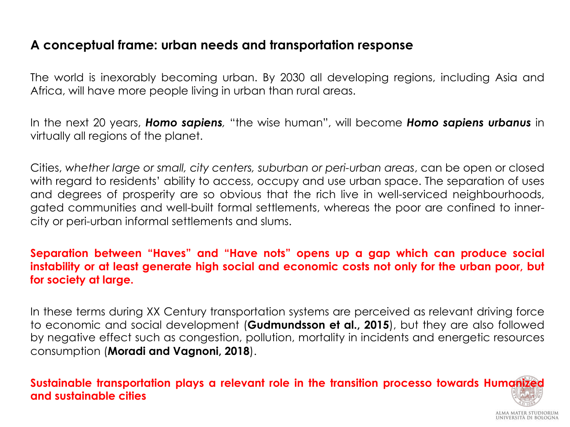### **A conceptual frame: urban needs and transportation response**

The world is inexorably becoming urban. By 2030 all developing regions, including Asia and Africa, will have more people living in urban than rural areas.

In the next 20 years, *Homo sapiens,* "the wise human", will become *Homo sapiens urbanus* in virtually all regions of the planet.

Cities, *whether large or small, city centers, suburban or peri-urban areas*, can be open or closed with regard to residents' ability to access, occupy and use urban space. The separation of uses and degrees of prosperity are so obvious that the rich live in well-serviced neighbourhoods, gated communities and well-built formal settlements, whereas the poor are confined to innercity or peri-urban informal settlements and slums.

#### **Separation between "Haves" and "Have nots" opens up a gap which can produce social instability or at least generate high social and economic costs not only for the urban poor, but for society at large.**

In these terms during XX Century transportation systems are perceived as relevant driving force to economic and social development (**Gudmundsson et al., 2015**), but they are also followed by negative effect such as congestion, pollution, mortality in incidents and energetic resources consumption (**Moradi and Vagnoni, 2018**).

**Sustainable transportation plays a relevant role in the transition processo towards Humanized and sustainable cities**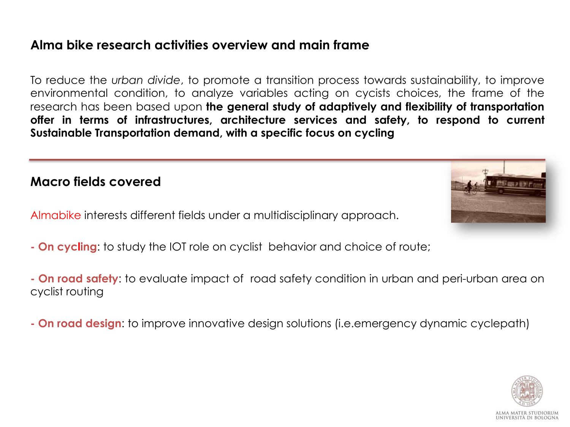### **Alma bike research activities overview and main frame**

To reduce the *urban divide*, to promote a transition process towards sustainability, to improve environmental condition, to analyze variables acting on cycists choices, the frame of the research has been based upon **the general study of adaptively and flexibility of transportation offer in terms of infrastructures, architecture services and safety, to respond to current Sustainable Transportation demand, with a specific focus on cycling** 

### **Macro fields covered**

Almabike interests different fields under a multidisciplinary approach.

- **On cycling**: to study the IOT role on cyclist behavior and choice of route;
- **On road safety**: to evaluate impact of road safety condition in urban and peri-urban area on cyclist routing
- **On road design**: to improve innovative design solutions (i.e.emergency dynamic cyclepath)



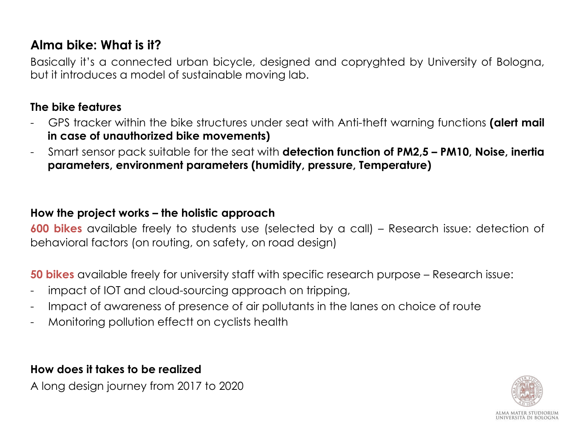### **Alma bike: What is it?**

Basically it's a connected urban bicycle, designed and copryghted by University of Bologna, but it introduces a model of sustainable moving lab.

#### **The bike features**

- GPS tracker within the bike structures under seat with Anti-theft warning functions **(alert mail in case of unauthorized bike movements)**
- Smart sensor pack suitable for the seat with **detection function of PM2,5 PM10, Noise, inertia parameters, environment parameters (humidity, pressure, Temperature)**

#### **How the project works – the holistic approach**

**600 bikes** available freely to students use (selected by a call) – Research issue: detection of behavioral factors (on routing, on safety, on road design)

**50 bikes** available freely for university staff with specific research purpose – Research issue:

- impact of IOT and cloud-sourcing approach on tripping,
- Impact of awareness of presence of air pollutants in the lanes on choice of route
- Monitoring pollution effectt on cyclists health

**How does it takes to be realized** 

A long design journey from 2017 to 2020

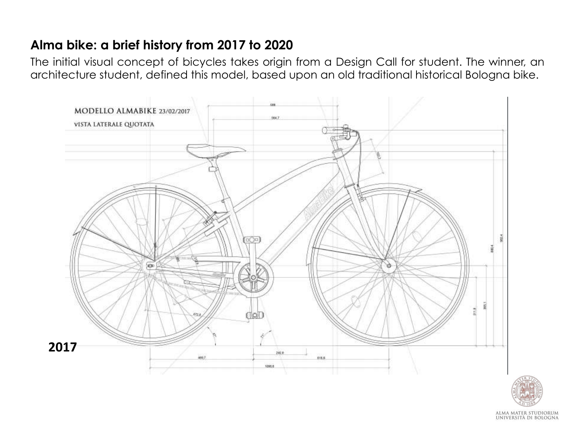### **Alma bike: a brief history from 2017 to 2020**

The initial visual concept of bicycles takes origin from a Design Call for student. The winner, an architecture student, defined this model, based upon an old traditional historical Bologna bike.





ALMA MATER STUDIORUM<br>Università di Bologna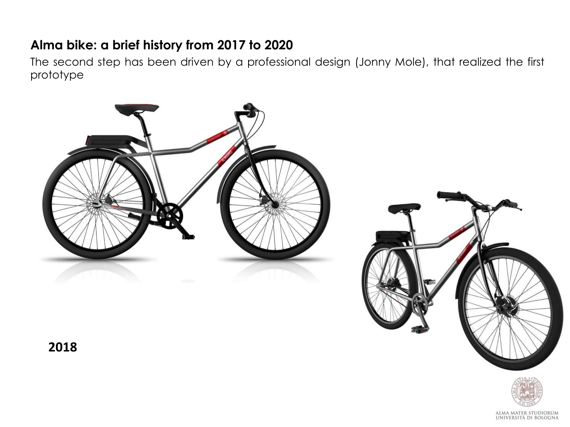### **Alma bike: a brief history from 2017 to 2020**

The second step has been driven by a professional design (Jonny Mole), that realized the first prototype







**2018**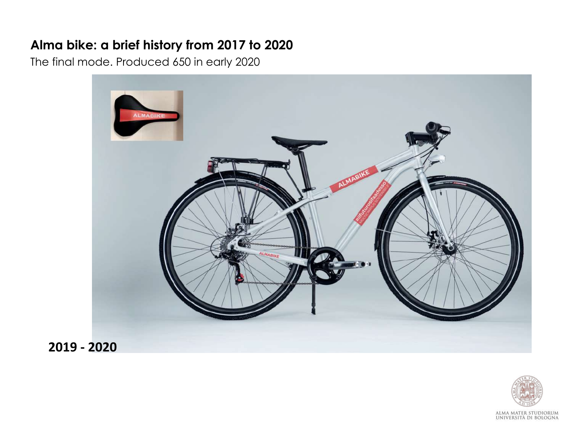### **Alma bike: a brief history from 2017 to 2020**

The final mode. Produced 650 in early 2020



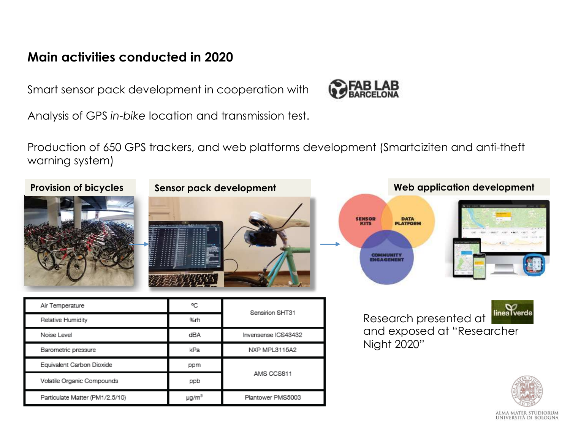### **Main activities conducted in 2020**

Smart sensor pack development in cooperation with

Analysis of GPS *in-bike* location and transmission test.

Production of 650 GPS trackers, and web platforms development (Smartciziten and anti-theft warning system)



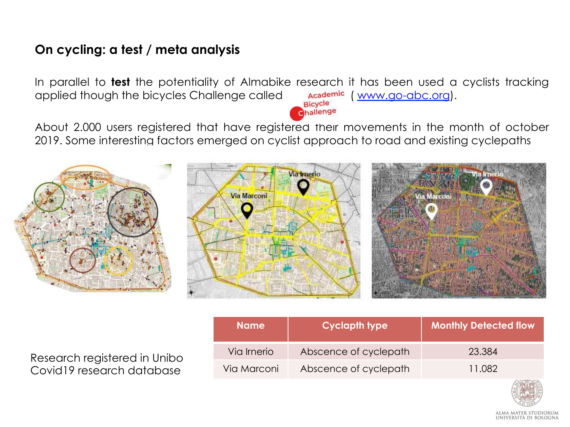### **On cycling: a test / meta analysis**

In parallel to **test** the potentiality of Almabike research it has been used a cyclists tracking applied though the bicycles Challenge called **Academic** ( www.go-abc.org). challenge

About 2.000 users registered that have registered their movements in the month of october 2019. Some interesting factors emerged on cyclist approach to road and existing cyclepaths



Research registered in Unibo Covid19 research database

| <b>Name</b> | <b>Cyclapth type</b>  | <b>Monthly Detected flow</b> |
|-------------|-----------------------|------------------------------|
| Via Irnerio | Abscence of cyclepath | 23.384                       |
| Via Marconi | Abscence of cyclepath | 11.082                       |

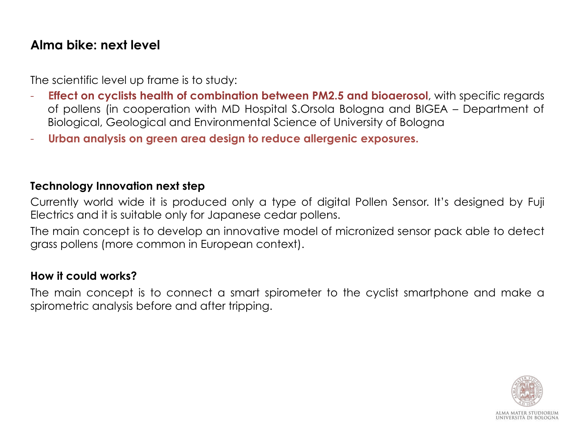### **Alma bike: next level**

The scientific level up frame is to study:

- **Effect on cyclists health of combination between PM2.5 and bioaerosol**, with specific regards of pollens (in cooperation with MD Hospital S.Orsola Bologna and BIGEA – Department of Biological, Geological and Environmental Science of University of Bologna
- **Urban analysis on green area design to reduce allergenic exposures.**

#### **Technology Innovation next step**

Currently world wide it is produced only a type of digital Pollen Sensor. It's designed by Fuji Electrics and it is suitable only for Japanese cedar pollens.

The main concept is to develop an innovative model of micronized sensor pack able to detect grass pollens (more common in European context).

#### **How it could works?**

The main concept is to connect a smart spirometer to the cyclist smartphone and make a spirometric analysis before and after tripping.